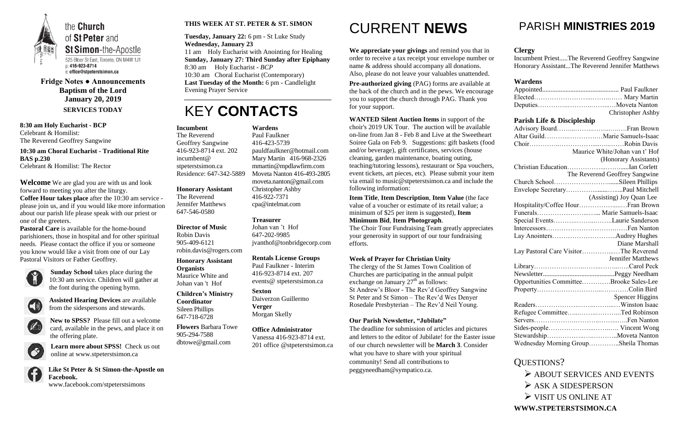

**Fridge Notes ● Announcements Baptism of the Lord January 20, 2019 SERVICES TODAY**

**8:30 am Holy Eucharist - BCP** Celebrant & Homilist: The Reverend Geoffrey Sangwine

**10:30 am Choral Eucharist - Traditional Rite BAS p.230** Celebrant & Homilist: The Rector

**Welcome** We are glad you are with us and look forward to meeting you after the liturgy. **Coffee Hour takes place** after the 10:30 am service please join us, and if you would like more information about our parish life please speak with our priest or one of the greeters.

**Pastoral Care** is available for the home-bound parishioners, those in hospital and for other spiritual needs. Please contact the office if you or someone you know would like a visit from one of our Lay Pastoral Visitors or Father Geoffrey.



**Sunday School** takes place during the 10:30 am service. Children will gather at the font during the opening hymn.



**Assisted Hearing Devices** are available from the sidespersons and stewards.



**New to SPSS?** Please fill out a welcome card, available in the pews, and place it on the offering plate.



**Learn more about SPSS!** Check us out online at www.stpeterstsimon.ca



**Like St Peter & St Simon-the-Apostle on Facebook.**  www.facebook.com/stpeterstsimons

#### **THIS WEEK AT ST. PETER & ST. SIMON**

**Tuesday, January 22:** 6 pm - St Luke Study **Wednesday, January 23** 11 am Holy Eucharist with Anointing for Healing **Sunday, January 27: Third Sunday after Epiphany** 8:30 am Holy Eucharist - *BCP* 10:30 am Choral Eucharist (Contemporary) **Last Tuesday of the Month:** 6 pm - Candlelight Evening Prayer Service

### KEY **CONTACTS**

# CURRENT **NEWS**

**We appreciate your givings** and remind you that in order to receive a tax receipt your envelope number or name & address should accompany all donations. Also, please do not leave your valuables unattended.

**Pre-authorized giving** (PAG) forms are available at the back of the church and in the pews. We encourage you to support the church through PAG. Thank you for your support.

**WANTED Silent Auction Items** in support of the choir's 2019 UK Tour. The auction will be available on-line from Jan 8 - Feb 8 and Live at the Sweetheart Soiree Gala on Feb 9. Suggestions: gift baskets (food and/or beverage), gift certificates, services (house cleaning, garden maintenance, boating outing, teaching/tutoring lessons), restaurant or Spa vouchers, event tickets, art pieces, etc). Please submit your item via email to music@stpeterstsimon.ca and include the following information:

**Item Title**, **Item Description**, **Item Value** (the face value of a voucher or estimate of its retail value; a minimum of \$25 per item is suggested), **Item Minimum Bid**, **Item Photograph**.

The Choir Tour Fundraising Team greatly appreciates your generosity in support of our tour fundraising efforts.

#### **Week of Prayer for Christian Unity**

The clergy of the St James Town Coalition of Churches are participating in the annual pulpit exchange on January  $27<sup>th</sup>$  as follows: St Andrew's Bloor - The Rev'd Geoffrey Sangwine St Peter and St Simon – The Rev'd Wes Denyer Rosedale Presbyterian – The Rev'd Neil Young.

#### **Our Parish Newsletter, "Jubilate"**

The deadline for submission of articles and pictures and letters to the editor of Jubilate! for the Easter issue of our church newsletter will be **March 3**. Consider what you have to share with your spiritual community! Send all contributions to [peggyneedham@sympatico.ca.](mailto:peggyneedham@sympatico.ca)

### PARISH **MINISTRIES 2019**

#### **Clergy**

Incumbent Priest.....The Reverend Geoffrey Sangwine Honorary Assistant...The Reverend Jennifer Matthews

#### **Wardens**

|                                         | <b>Christopher Ashby</b>       |
|-----------------------------------------|--------------------------------|
| Parish Life & Discipleship              |                                |
|                                         |                                |
|                                         |                                |
|                                         |                                |
|                                         | Maurice White/Johan van t' Hof |
|                                         | (Honorary Assistants)          |
|                                         |                                |
|                                         | The Reverend Geoffrey Sangwine |
| Church SchoolSileen Phillips            |                                |
|                                         |                                |
|                                         | (Assisting) Joy Quan Lee       |
|                                         |                                |
| Funerals Marie Samuels-Isaac            |                                |
| Special EventsLaurie Sanderson          |                                |
|                                         |                                |
|                                         |                                |
|                                         | Diane Marshall                 |
| Lay Pastoral Care VisitorThe Reverend   |                                |
|                                         | <b>Jennifer Matthews</b>       |
|                                         |                                |
|                                         |                                |
| Opportunities CommitteeBrooke Sales-Lee |                                |
|                                         |                                |
|                                         | <b>Spencer Higgins</b>         |
|                                         |                                |
| Refugee CommitteeTed Robinson           |                                |
|                                         |                                |
|                                         |                                |
|                                         |                                |
| Wednesday Morning GroupSheila Thomas    |                                |

#### QUESTIONS?

 $\triangleright$  ABOUT SERVICES AND EVENTS

- $\triangleright$  ASK A SIDESPERSON
- $\triangleright$  VISIT US ONLINE AT

**WWW.STPETERSTSIMON.CA**

#### **Incumbent**

The Reverend Geoffrey Sangwine 416-923-8714 ext. 202 incumbent@ stpeterstsimon.ca Residence: 647-342-5889

**Honorary Assistant** The Reverend

Jennifer Matthews 647-546-0580

#### **Director of Music**

Robin Davis 905-409-6121 robin.davis@rogers.com

**Honorary Assistant Organists**  Maurice White and Johan van 't Hof

#### **Children's Ministry Coordinator** Sileen Phillips 647-718-6728

**Flowers** Barbara Towe 905-294-7588 dbtowe@gmail.com

#### **Wardens**  Paul Faulkner

416-423-5739 [pauldfaulkner@hotmail.com](mailto:pauldfaulkner@hotmail.com)  Mary Martin 416-968-2326 mmartin@mpdlawfirm.com Moveta Nanton 416-493-2805 moveta.nanton@gmail.com Christopher Ashby 416-922-7371 cpa@intelmat.com

**Treasurer** 

Johan van 't Hof 647-202-9985 jvanthof@tonbridgecorp.com

#### **Rentals License Groups**

Paul Faulkner - Interim 416-923-8714 ext. 207 events@ stpeterstsimon.ca

**Sexton** Daiverzon Guillermo **Verger** Morgan Skelly

**Office Administrator**

Vanessa 416-923-8714 ext. 201 office @stpeterstsimon.ca